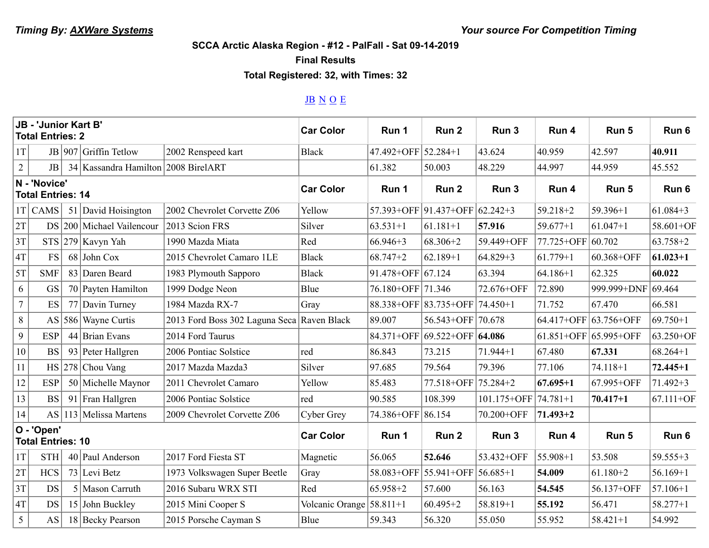**SCCA Arctic Alaska Region - #12 - PalFall - Sat 09-14-2019**

**Final Results**

**Total Registered: 32, with Times: 32**

## JB N O E

| JB - 'Junior Kart B'<br><b>Total Entries: 2</b> |                |    |                                     |                                            | <b>Car Color</b> | Run 1               | Run <sub>2</sub>               | Run 3                    | Run 4             | Run 5                     | Run 6         |
|-------------------------------------------------|----------------|----|-------------------------------------|--------------------------------------------|------------------|---------------------|--------------------------------|--------------------------|-------------------|---------------------------|---------------|
| 1T                                              |                |    | JB 907 Griffin Tetlow               | 2002 Renspeed kart                         | <b>Black</b>     | 47.492+OFF 52.284+1 |                                | 43.624                   | 40.959            | 42.597                    | 40.911        |
| $\overline{2}$                                  | J <sub>B</sub> |    | 34 Kassandra Hamilton 2008 BirelART |                                            |                  | 61.382              | 50.003                         | 48.229                   | 44.997            | 44.959                    | 45.552        |
| N - 'Novice'<br><b>Total Entries: 14</b>        |                |    |                                     | <b>Car Color</b>                           | Run 1            | Run <sub>2</sub>    | Run 3                          | Run 4                    | Run 5             | Run 6                     |               |
|                                                 | $1T $ CAMS     |    | 51 David Hoisington                 | 2002 Chevrolet Corvette Z06                | Yellow           |                     | 57.393+OFF 91.437+OFF 62.242+3 |                          | $59.218 + 2$      | $59.396 + 1$              | $61.084 + 3$  |
| 2T                                              | <b>DS</b>      |    | 200 Michael Vailencour              | 2013 Scion FRS                             | Silver           | $63.531 + 1$        | $61.181 + 1$                   | 57.916                   | $59.677 + 1$      | $61.047 + 1$              | 58.601+OF     |
| 3T                                              |                |    | $STS$ 279 Kavyn Yah                 | 1990 Mazda Miata                           | Red              | $66.946 + 3$        | $68.306 + 2$                   | 59.449+OFF               | 77.725+OFF 60.702 |                           | $63.758 + 2$  |
| $4\mathrm{T}$                                   | <b>FS</b>      |    | $68$ John Cox                       | 2015 Chevrolet Camaro 1LE                  | <b>Black</b>     | $68.747 + 2$        | $62.189 + 1$                   | $64.829 + 3$             | $61.779 + 1$      | 60.368+OFF                | $61.023 + 1$  |
| 5T                                              | <b>SMF</b>     |    | 83 Daren Beard                      | 1983 Plymouth Sapporo                      | <b>Black</b>     | 91.478+OFF 67.124   |                                | 63.394                   | $64.186 + 1$      | 62.325                    | 60.022        |
| 6                                               | <b>GS</b>      |    | 70 Payten Hamilton                  | 1999 Dodge Neon                            | Blue             | 76.180+OFF 71.346   |                                | 72.676+OFF               | 72.890            | 999.999+DNF               | 69.464        |
| $\overline{7}$                                  | ES             | 77 | Davin Turney                        | 1984 Mazda RX-7                            | Gray             |                     | 88.338+OFF 83.735+OFF 74.450+1 |                          | 71.752            | 67.470                    | 66.581        |
| $\,8\,$                                         | AS             |    | 586 Wayne Curtis                    | 2013 Ford Boss 302 Laguna Seca Raven Black |                  | 89.007              | 56.543+OFF 70.678              |                          |                   | 64.417+OFF 63.756+OFF     | $69.750 + 1$  |
| 9                                               | <b>ESP</b>     |    | $44$ Brian Evans                    | 2014 Ford Taurus                           |                  |                     | 84.371+OFF 69.522+OFF 64.086   |                          |                   | $61.851 + OFF$ 65.995+OFF | 63.250+OF     |
| 10                                              | <b>BS</b>      |    | 93 Peter Hallgren                   | 2006 Pontiac Solstice                      | red              | 86.843              | 73.215                         | $71.944 + 1$             | 67.480            | 67.331                    | $68.264 + 1$  |
| 11                                              | HS             |    | $278$ Chou Vang                     | 2017 Mazda Mazda3                          | Silver           | 97.685              | 79.564                         | 79.396                   | 77.106            | $74.118 + 1$              | $72.445 + 1$  |
| 12                                              | <b>ESP</b>     |    | 50 Michelle Maynor                  | 2011 Chevrolet Camaro                      | Yellow           | 85.483              | 77.518+OFF                     | $75.284 + 2$             | $67.695 + 1$      | 67.995+OFF                | $71.492 + 3$  |
| 13                                              | <b>BS</b>      |    | 91 Fran Hallgren                    | 2006 Pontiac Solstice                      | red              | 90.585              | 108.399                        | $101.175 + OFF$ 74.781+1 |                   | $70.417 + 1$              | $67.111 + OF$ |
| 14                                              | AS             |    | 113 Melissa Martens                 | 2009 Chevrolet Corvette Z06                | Cyber Grey       | 74.386+OFF 86.154   |                                | 70.200+OFF               | 71.493+2          |                           |               |
| O - 'Open'<br><b>Total Entries: 10</b>          |                |    |                                     | <b>Car Color</b>                           | Run 1            | Run <sub>2</sub>    | Run 3                          | Run 4                    | Run 5             | Run 6                     |               |
| 1T                                              | <b>STH</b>     |    | 40 Paul Anderson                    | 2017 Ford Fiesta ST                        | Magnetic         | 56.065              | 52.646                         | 53.432+OFF               | $55.908+1$        | 53.508                    | $59.555+3$    |
| 2T                                              | <b>HCS</b>     |    | $73$ Levi Betz                      | 1973 Volkswagen Super Beetle               | Gray             | 58.083+OFF          | $ 55.941 + OFF $               | $56.685 + 1$             | 54.009            | $61.180 + 2$              | $56.169 + 1$  |
| 3T                                              | DS             |    | $5$ Mason Carruth                   | 2016 Subaru WRX STI                        | Red              | $65.958 + 2$        | 57.600                         | 56.163                   | 54.545            | 56.137+OFF                | $57.106 + 1$  |
| 4T                                              | <b>DS</b>      |    | 15 John Buckley                     | 2015 Mini Cooper S                         | Volcanic Orange  | $58.811 + 1$        | $60.495 + 2$                   | 58.819+1                 | 55.192            | 56.471                    | $58.277 + 1$  |
| 5                                               | <b>AS</b>      |    | 18 Becky Pearson                    | 2015 Porsche Cayman S                      | Blue             | 59.343              | 56.320                         | 55.050                   | 55.952            | $58.421 + 1$              | 54.992        |